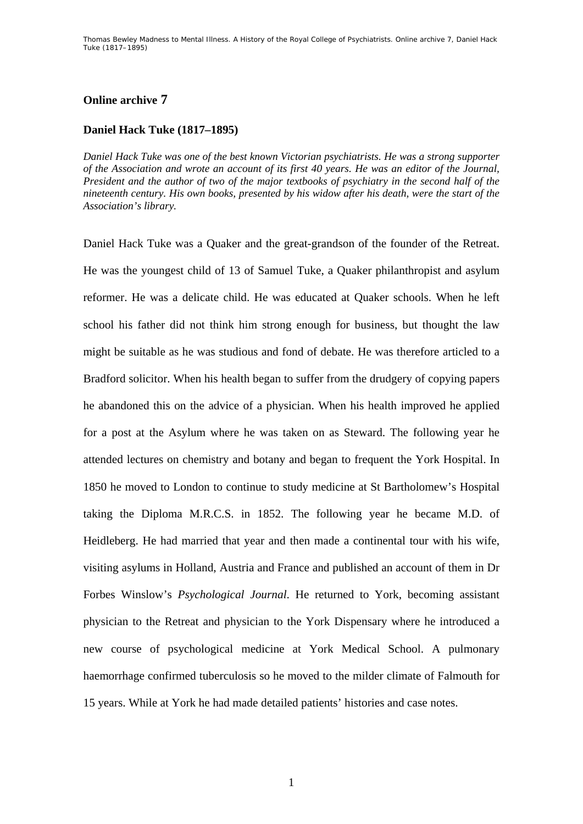## **Online archive 7**

## **Daniel Hack Tuke (1817–1895)**

*Daniel Hack Tuke was one of the best known Victorian psychiatrists. He was a strong supporter of the Association and wrote an account of its first 40 years. He was an editor of the Journal, President and the author of two of the major textbooks of psychiatry in the second half of the nineteenth century. His own books, presented by his widow after his death, were the start of the Association's library.* 

Daniel Hack Tuke was a Quaker and the great-grandson of the founder of the Retreat. He was the youngest child of 13 of Samuel Tuke, a Quaker philanthropist and asylum reformer. He was a delicate child. He was educated at Quaker schools. When he left school his father did not think him strong enough for business, but thought the law might be suitable as he was studious and fond of debate. He was therefore articled to a Bradford solicitor. When his health began to suffer from the drudgery of copying papers he abandoned this on the advice of a physician. When his health improved he applied for a post at the Asylum where he was taken on as Steward. The following year he attended lectures on chemistry and botany and began to frequent the York Hospital. In 1850 he moved to London to continue to study medicine at St Bartholomew's Hospital taking the Diploma M.R.C.S. in 1852. The following year he became M.D. of Heidleberg. He had married that year and then made a continental tour with his wife, visiting asylums in Holland, Austria and France and published an account of them in Dr Forbes Winslow's *Psychological Journal*. He returned to York, becoming assistant physician to the Retreat and physician to the York Dispensary where he introduced a new course of psychological medicine at York Medical School. A pulmonary haemorrhage confirmed tuberculosis so he moved to the milder climate of Falmouth for 15 years. While at York he had made detailed patients' histories and case notes.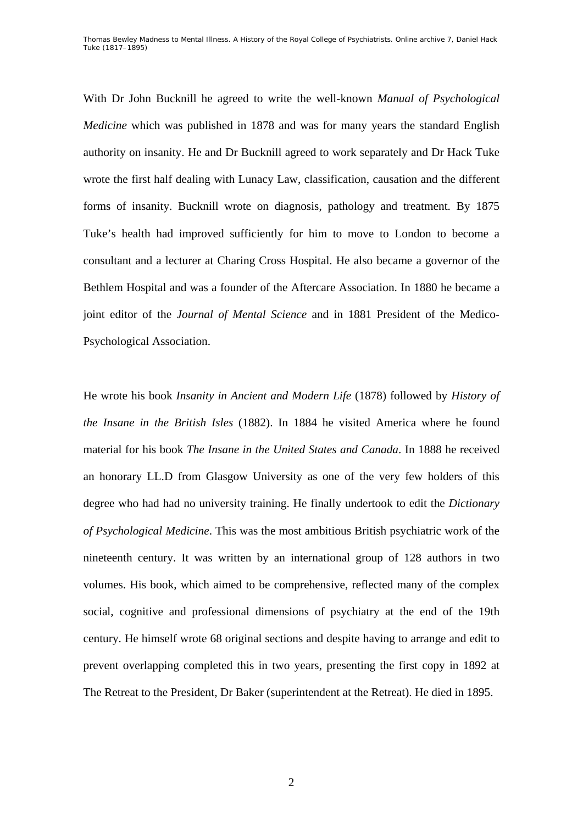Thomas Bewley *Madness to Mental Illness. A History of the Royal College of Psychiatrists*. Online archive 7, *Daniel Hack Tuke (1817–1895)*

With Dr John Bucknill he agreed to write the well-known *Manual of Psychological Medicine* which was published in 1878 and was for many years the standard English authority on insanity. He and Dr Bucknill agreed to work separately and Dr Hack Tuke wrote the first half dealing with Lunacy Law, classification, causation and the different forms of insanity. Bucknill wrote on diagnosis, pathology and treatment. By 1875 Tuke's health had improved sufficiently for him to move to London to become a consultant and a lecturer at Charing Cross Hospital. He also became a governor of the Bethlem Hospital and was a founder of the Aftercare Association. In 1880 he became a joint editor of the *Journal of Mental Science* and in 1881 President of the Medico-Psychological Association.

He wrote his book *Insanity in Ancient and Modern Life* (1878) followed by *History of the Insane in the British Isles* (1882). In 1884 he visited America where he found material for his book *The Insane in the United States and Canada*. In 1888 he received an honorary LL.D from Glasgow University as one of the very few holders of this degree who had had no university training. He finally undertook to edit the *Dictionary of Psychological Medicine*. This was the most ambitious British psychiatric work of the nineteenth century. It was written by an international group of 128 authors in two volumes. His book, which aimed to be comprehensive, reflected many of the complex social, cognitive and professional dimensions of psychiatry at the end of the 19th century. He himself wrote 68 original sections and despite having to arrange and edit to prevent overlapping completed this in two years, presenting the first copy in 1892 at The Retreat to the President, Dr Baker (superintendent at the Retreat). He died in 1895.